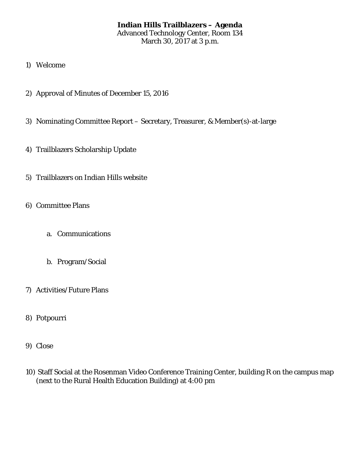# **Indian Hills Trailblazers – Agenda** Advanced Technology Center, Room 134 March 30, 2017 at 3 p.m.

- 1) Welcome
- 2) Approval of Minutes of December 15, 2016
- 3) Nominating Committee Report Secretary, Treasurer, & Member(s)-at-large
- 4) Trailblazers Scholarship Update
- 5) Trailblazers on Indian Hills website
- 6) Committee Plans
	- a. Communications
	- b. Program/Social
- 7) Activities/Future Plans
- 8) Potpourri
- 9) Close
- 10) Staff Social at the Rosenman Video Conference Training Center, building R on the campus map (next to the Rural Health Education Building) at 4:00 pm